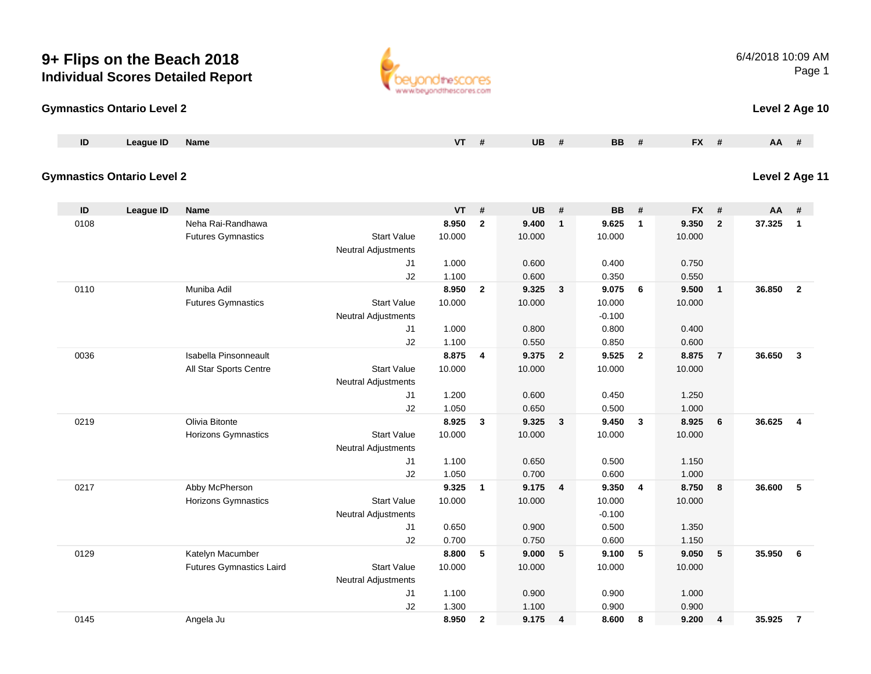#### **Gymnastics Ontario Level 2**

| $\blacksquare$ | League ID | Name | . . | UB | BB | -11 | <b>EV</b><br>$\mathbf{A}$ | <b>AA</b> |  |
|----------------|-----------|------|-----|----|----|-----|---------------------------|-----------|--|
|                |           |      |     |    |    |     |                           |           |  |

### **Gymnastics Ontario Level 2**

| ID   | League ID | <b>Name</b>                     |                            | <b>VT</b> | #              | <b>UB</b> | #                       | <b>BB</b> | #              | <b>FX</b> | #              | AA     | #              |
|------|-----------|---------------------------------|----------------------------|-----------|----------------|-----------|-------------------------|-----------|----------------|-----------|----------------|--------|----------------|
| 0108 |           | Neha Rai-Randhawa               |                            | 8.950     | $\mathbf{2}$   | 9.400     | $\mathbf{1}$            | 9.625     | $\mathbf{1}$   | 9.350     | $\overline{2}$ | 37.325 | $\mathbf{1}$   |
|      |           | <b>Futures Gymnastics</b>       | <b>Start Value</b>         | 10.000    |                | 10.000    |                         | 10.000    |                | 10.000    |                |        |                |
|      |           |                                 | <b>Neutral Adjustments</b> |           |                |           |                         |           |                |           |                |        |                |
|      |           |                                 | J1                         | 1.000     |                | 0.600     |                         | 0.400     |                | 0.750     |                |        |                |
|      |           |                                 | J2                         | 1.100     |                | 0.600     |                         | 0.350     |                | 0.550     |                |        |                |
| 0110 |           | Muniba Adil                     |                            | 8.950     | $\overline{2}$ | 9.325     | $\mathbf{3}$            | 9.075     | 6              | 9.500     | $\overline{1}$ | 36.850 | $\overline{2}$ |
|      |           | <b>Futures Gymnastics</b>       | <b>Start Value</b>         | 10.000    |                | 10.000    |                         | 10.000    |                | 10.000    |                |        |                |
|      |           |                                 | Neutral Adjustments        |           |                |           |                         | $-0.100$  |                |           |                |        |                |
|      |           |                                 | J1                         | 1.000     |                | 0.800     |                         | 0.800     |                | 0.400     |                |        |                |
|      |           |                                 | J2                         | 1.100     |                | 0.550     |                         | 0.850     |                | 0.600     |                |        |                |
| 0036 |           | Isabella Pinsonneault           |                            | 8.875     | 4              | 9.375     | $\overline{2}$          | 9.525     | $\overline{2}$ | 8.875     | $\overline{7}$ | 36.650 | $\mathbf{3}$   |
|      |           | All Star Sports Centre          | <b>Start Value</b>         | 10.000    |                | 10.000    |                         | 10.000    |                | 10.000    |                |        |                |
|      |           |                                 | Neutral Adjustments        |           |                |           |                         |           |                |           |                |        |                |
|      |           |                                 | J1                         | 1.200     |                | 0.600     |                         | 0.450     |                | 1.250     |                |        |                |
|      |           |                                 | J2                         | 1.050     |                | 0.650     |                         | 0.500     |                | 1.000     |                |        |                |
| 0219 |           | Olivia Bitonte                  |                            | 8.925     | 3              | 9.325     | $\mathbf{3}$            | 9.450     | $\mathbf{3}$   | 8.925     | 6              | 36.625 | $\overline{4}$ |
|      |           | <b>Horizons Gymnastics</b>      | <b>Start Value</b>         | 10.000    |                | 10.000    |                         | 10.000    |                | 10.000    |                |        |                |
|      |           |                                 | Neutral Adjustments        |           |                |           |                         |           |                |           |                |        |                |
|      |           |                                 | J1                         | 1.100     |                | 0.650     |                         | 0.500     |                | 1.150     |                |        |                |
|      |           |                                 | J2                         | 1.050     |                | 0.700     |                         | 0.600     |                | 1.000     |                |        |                |
| 0217 |           | Abby McPherson                  |                            | 9.325     | 1              | 9.175     | 4                       | 9.350     | $\overline{4}$ | 8.750     | 8              | 36.600 | 5              |
|      |           | <b>Horizons Gymnastics</b>      | <b>Start Value</b>         | 10.000    |                | 10.000    |                         | 10.000    |                | 10.000    |                |        |                |
|      |           |                                 | Neutral Adjustments        |           |                |           |                         | $-0.100$  |                |           |                |        |                |
|      |           |                                 | J1                         | 0.650     |                | 0.900     |                         | 0.500     |                | 1.350     |                |        |                |
|      |           |                                 | J2                         | 0.700     |                | 0.750     |                         | 0.600     |                | 1.150     |                |        |                |
| 0129 |           | Katelyn Macumber                |                            | 8.800     | 5              | 9.000     | 5                       | 9.100     | 5              | 9.050     | 5              | 35.950 | 6              |
|      |           | <b>Futures Gymnastics Laird</b> | <b>Start Value</b>         | 10.000    |                | 10.000    |                         | 10.000    |                | 10.000    |                |        |                |
|      |           |                                 | Neutral Adjustments        |           |                |           |                         |           |                |           |                |        |                |
|      |           |                                 | J1                         | 1.100     |                | 0.900     |                         | 0.900     |                | 1.000     |                |        |                |
|      |           |                                 | J2                         | 1.300     |                | 1.100     |                         | 0.900     |                | 0.900     |                |        |                |
| 0145 |           | Angela Ju                       |                            | 8.950     | $\overline{2}$ | 9.175     | $\overline{\mathbf{4}}$ | 8.600     | 8              | 9.200     | 4              | 35.925 | $\overline{7}$ |

www.beyondthescores.com

6/4/2018 10:09 AMPage 1

**Level 2 Age 10**

**Level 2 Age 11**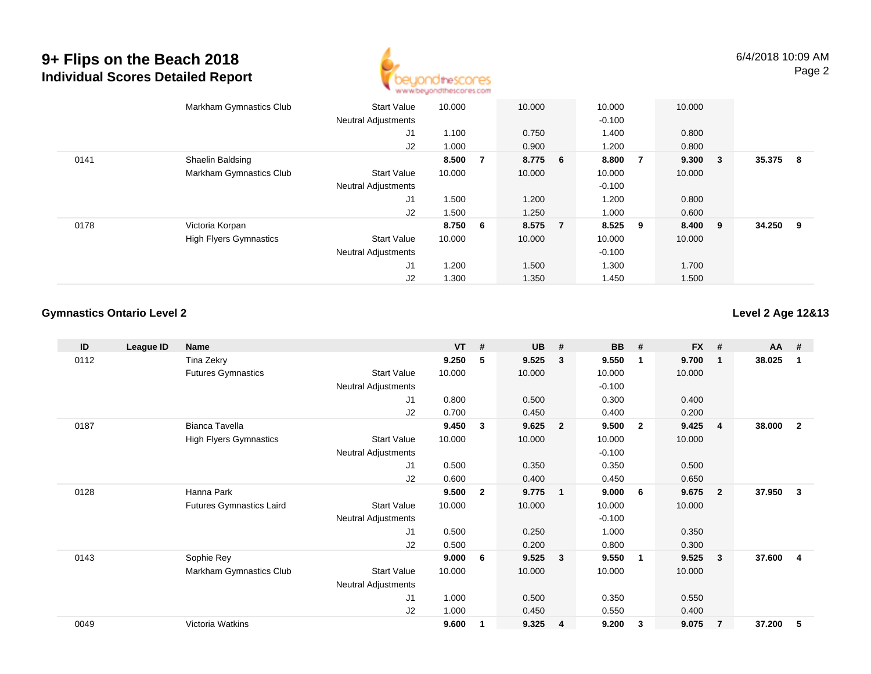

|      | Markham Gymnastics Club       | <b>Start Value</b><br><b>Neutral Adjustments</b> | 10.000 |    | 10.000  |                | 10.000<br>$-0.100$ |                | 10.000 |        |        |     |
|------|-------------------------------|--------------------------------------------------|--------|----|---------|----------------|--------------------|----------------|--------|--------|--------|-----|
|      |                               | J1                                               | 1.100  |    | 0.750   |                | 1.400              |                | 0.800  |        |        |     |
|      |                               | J2                                               | 1.000  |    | 0.900   |                | 1.200              |                | 0.800  |        |        |     |
| 0141 | Shaelin Baldsing              |                                                  | 8.500  | 7  | 8.775 6 |                | 8.800              | $\overline{7}$ | 9.300  | $_{3}$ | 35.375 | - 8 |
|      | Markham Gymnastics Club       | <b>Start Value</b>                               | 10.000 |    | 10.000  |                | 10.000             |                | 10.000 |        |        |     |
|      |                               | <b>Neutral Adjustments</b>                       |        |    |         |                | $-0.100$           |                |        |        |        |     |
|      |                               | J1                                               | 1.500  |    | 1.200   |                | 1.200              |                | 0.800  |        |        |     |
|      |                               | J2                                               | 1.500  |    | 1.250   |                | 1.000              |                | 0.600  |        |        |     |
| 0178 | Victoria Korpan               |                                                  | 8.750  | -6 | 8.575   | $\overline{7}$ | 8.525              | - 9            | 8.400  | - 9    | 34.250 | - 9 |
|      | <b>High Flyers Gymnastics</b> | <b>Start Value</b>                               | 10.000 |    | 10.000  |                | 10.000             |                | 10.000 |        |        |     |
|      |                               | <b>Neutral Adjustments</b>                       |        |    |         |                | $-0.100$           |                |        |        |        |     |
|      |                               | J1                                               | 1.200  |    | 1.500   |                | 1.300              |                | 1.700  |        |        |     |
|      |                               | J2                                               | 1.300  |    | 1.350   |                | 1.450              |                | 1.500  |        |        |     |

#### **Gymnastics Ontario Level 2**

**Level 2 Age 12&13**

| ID   | League ID | <b>Name</b>                     |                            | <b>VT</b> | #            | <b>UB</b> | #                       | <b>BB</b> | #                       | <b>FX</b> | #              | <b>AA</b> | #            |
|------|-----------|---------------------------------|----------------------------|-----------|--------------|-----------|-------------------------|-----------|-------------------------|-----------|----------------|-----------|--------------|
| 0112 |           | Tina Zekry                      |                            | 9.250     | 5            | 9.525     | 3                       | 9.550     | -1                      | 9.700     | $\mathbf{1}$   | 38.025    |              |
|      |           | <b>Futures Gymnastics</b>       | <b>Start Value</b>         | 10.000    |              | 10.000    |                         | 10.000    |                         | 10.000    |                |           |              |
|      |           |                                 | <b>Neutral Adjustments</b> |           |              |           |                         | $-0.100$  |                         |           |                |           |              |
|      |           |                                 | J1                         | 0.800     |              | 0.500     |                         | 0.300     |                         | 0.400     |                |           |              |
|      |           |                                 | J2                         | 0.700     |              | 0.450     |                         | 0.400     |                         | 0.200     |                |           |              |
| 0187 |           | Bianca Tavella                  |                            | 9.450     | 3            | 9.625     | $\overline{2}$          | 9.500     | $\overline{\mathbf{2}}$ | 9.425     | $\overline{4}$ | 38.000    | $\mathbf{2}$ |
|      |           | <b>High Flyers Gymnastics</b>   | <b>Start Value</b>         | 10.000    |              | 10.000    |                         | 10.000    |                         | 10.000    |                |           |              |
|      |           |                                 | Neutral Adjustments        |           |              |           |                         | $-0.100$  |                         |           |                |           |              |
|      |           |                                 | J1                         | 0.500     |              | 0.350     |                         | 0.350     |                         | 0.500     |                |           |              |
|      |           |                                 | J <sub>2</sub>             | 0.600     |              | 0.400     |                         | 0.450     |                         | 0.650     |                |           |              |
| 0128 |           | Hanna Park                      |                            | 9.500     | $\mathbf{2}$ | 9.775     | $\overline{\mathbf{1}}$ | 9.000     | 6                       | 9.675     | $\overline{2}$ | 37.950    | 3            |
|      |           | <b>Futures Gymnastics Laird</b> | <b>Start Value</b>         | 10.000    |              | 10.000    |                         | 10.000    |                         | 10.000    |                |           |              |
|      |           |                                 | <b>Neutral Adjustments</b> |           |              |           |                         | $-0.100$  |                         |           |                |           |              |
|      |           |                                 | J1                         | 0.500     |              | 0.250     |                         | 1.000     |                         | 0.350     |                |           |              |
|      |           |                                 | J2                         | 0.500     |              | 0.200     |                         | 0.800     |                         | 0.300     |                |           |              |
| 0143 |           | Sophie Rey                      |                            | 9.000     | 6            | 9.525     | $\overline{\mathbf{3}}$ | 9.550     | - 1                     | 9.525     | $\mathbf{3}$   | 37.600    | 4            |
|      |           | Markham Gymnastics Club         | <b>Start Value</b>         | 10.000    |              | 10.000    |                         | 10.000    |                         | 10.000    |                |           |              |
|      |           |                                 | Neutral Adjustments        |           |              |           |                         |           |                         |           |                |           |              |
|      |           |                                 | J1                         | 1.000     |              | 0.500     |                         | 0.350     |                         | 0.550     |                |           |              |
|      |           |                                 | J2                         | 1.000     |              | 0.450     |                         | 0.550     |                         | 0.400     |                |           |              |
| 0049 |           | Victoria Watkins                |                            | 9.600     |              | 9.325     | 4                       | 9.200     | 3                       | 9.075     | $\overline{7}$ | 37.200    | 5            |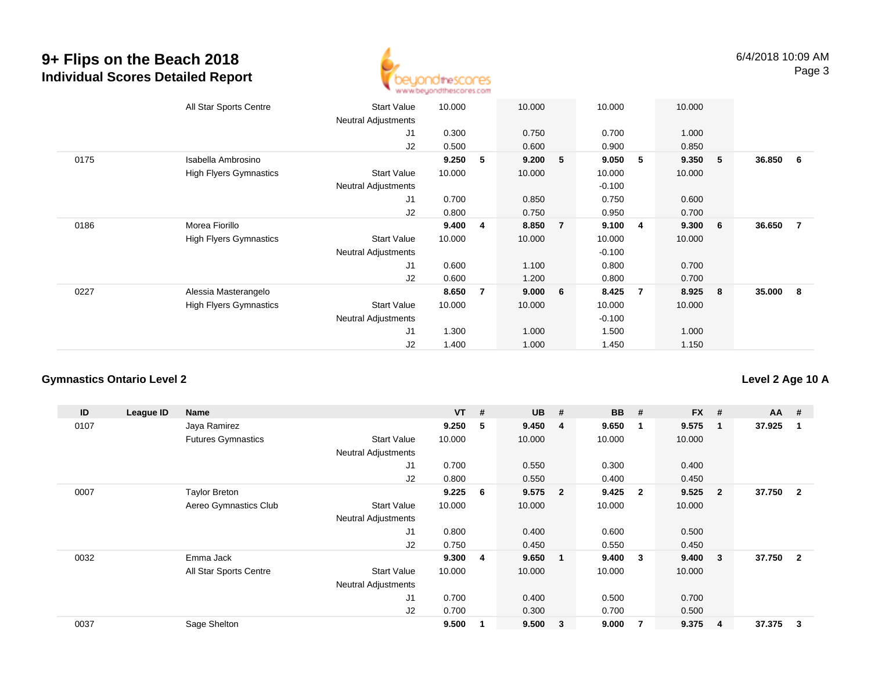

|      | All Star Sports Centre        | <b>Start Value</b><br><b>Neutral Adjustments</b> | 10.000 |                | 10.000 |                | 10.000   |   | 10.000 |     |        |                |
|------|-------------------------------|--------------------------------------------------|--------|----------------|--------|----------------|----------|---|--------|-----|--------|----------------|
|      |                               | J1                                               | 0.300  |                | 0.750  |                | 0.700    |   | 1.000  |     |        |                |
|      |                               | J2                                               | 0.500  |                | 0.600  |                | 0.900    |   | 0.850  |     |        |                |
| 0175 | Isabella Ambrosino            |                                                  | 9.250  | 5              | 9.200  | 5              | 9.050    | 5 | 9.350  | - 5 | 36.850 | 6              |
|      | <b>High Flyers Gymnastics</b> | <b>Start Value</b>                               | 10.000 |                | 10.000 |                | 10.000   |   | 10.000 |     |        |                |
|      |                               | <b>Neutral Adjustments</b>                       |        |                |        |                | $-0.100$ |   |        |     |        |                |
|      |                               | J1                                               | 0.700  |                | 0.850  |                | 0.750    |   | 0.600  |     |        |                |
|      |                               | J2                                               | 0.800  |                | 0.750  |                | 0.950    |   | 0.700  |     |        |                |
| 0186 | Morea Fiorillo                |                                                  | 9.400  | 4              | 8.850  | $\overline{7}$ | 9.100    | 4 | 9.300  | 6   | 36.650 | $\overline{7}$ |
|      | <b>High Flyers Gymnastics</b> | <b>Start Value</b>                               | 10.000 |                | 10.000 |                | 10.000   |   | 10.000 |     |        |                |
|      |                               | <b>Neutral Adjustments</b>                       |        |                |        |                | $-0.100$ |   |        |     |        |                |
|      |                               | J1                                               | 0.600  |                | 1.100  |                | 0.800    |   | 0.700  |     |        |                |
|      |                               | J2                                               | 0.600  |                | 1.200  |                | 0.800    |   | 0.700  |     |        |                |
| 0227 | Alessia Masterangelo          |                                                  | 8.650  | $\overline{7}$ | 9.000  | 6              | 8.425    | 7 | 8.925  | 8   | 35.000 | - 8            |
|      | <b>High Flyers Gymnastics</b> | <b>Start Value</b>                               | 10.000 |                | 10.000 |                | 10.000   |   | 10.000 |     |        |                |
|      |                               | <b>Neutral Adjustments</b>                       |        |                |        |                | $-0.100$ |   |        |     |        |                |
|      |                               | J1                                               | 1.300  |                | 1.000  |                | 1.500    |   | 1.000  |     |        |                |
|      |                               | J2                                               | 1.400  |                | 1.000  |                | 1.450    |   | 1.150  |     |        |                |

#### **Gymnastics Ontario Level 2**

**ID League ID Name VT # UB # BB # FX # AA #** 0107 Jaya Ramirez **9.250 <sup>5</sup> 9.450 <sup>4</sup> 9.650 <sup>1</sup> 9.575 <sup>1</sup> 37.925 <sup>1</sup>** Futures Gymnastics Start Valuee 10.000 10.000 10.000 10.000 Neutral Adjustments J1 0.700 0.550 0.300 0.400 J2 0.800 0.550 0.400 0.450 0007 Taylor Breton **9.225 <sup>6</sup> 9.575 <sup>2</sup> 9.425 <sup>2</sup> 9.525 <sup>2</sup> 37.750 <sup>2</sup>** Aereo Gymnastics Clubb 3tart Value 10.000 10.000 10.000 10.000 10.000 Neutral Adjustments J1 0.800 0.400 0.600 0.500 J2 0.750 0.450 0.550 0.450 0032 Emma Jack **9.300 <sup>4</sup> 9.650 <sup>1</sup> 9.400 <sup>3</sup> 9.400 <sup>3</sup> 37.750 <sup>2</sup>** All Star Sports Centre Start Value 10.000 10.000 10.000 10.000 Neutral Adjustments J1 0.700 0.400 0.500 0.700 J2 0.700 0.300 0.700 0.500 0037Sage Shelton **9.500 <sup>1</sup> 9.500 <sup>3</sup> 9.000 <sup>7</sup> 9.375 <sup>4</sup> 37.375 <sup>3</sup>**

**Level 2 Age 10 A**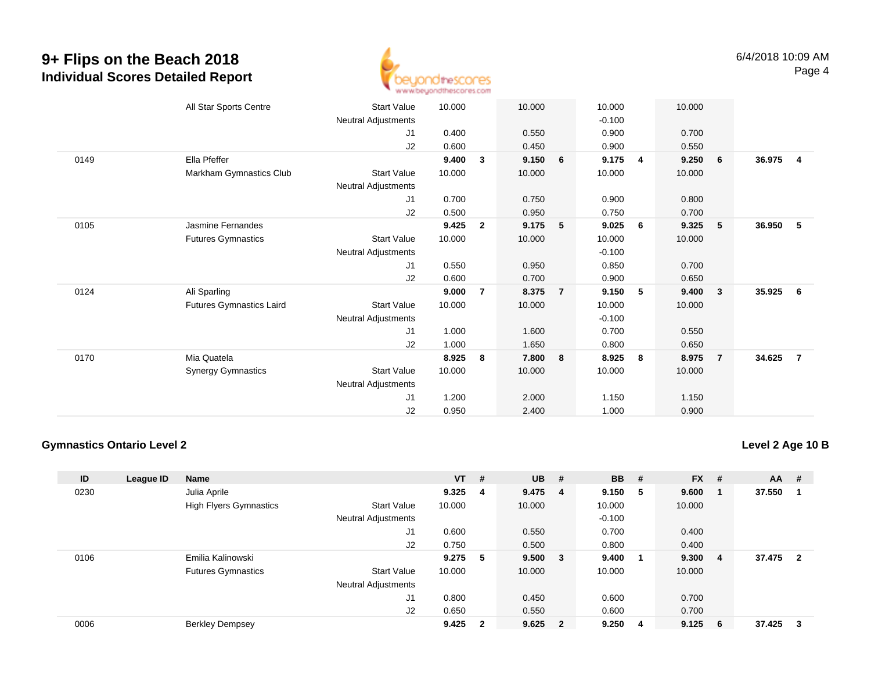

|      | All Star Sports Centre          | <b>Start Value</b>         | 10.000 |                | 10.000 |                | 10.000   |   | 10.000 |                         |        |                         |
|------|---------------------------------|----------------------------|--------|----------------|--------|----------------|----------|---|--------|-------------------------|--------|-------------------------|
|      |                                 | Neutral Adjustments        |        |                |        |                | $-0.100$ |   |        |                         |        |                         |
|      |                                 | J1                         | 0.400  |                | 0.550  |                | 0.900    |   | 0.700  |                         |        |                         |
|      |                                 | J2                         | 0.600  |                | 0.450  |                | 0.900    |   | 0.550  |                         |        |                         |
| 0149 | Ella Pfeffer                    |                            | 9.400  | 3              | 9.150  | 6              | 9.175    | 4 | 9.250  | 6                       | 36.975 | $\overline{\mathbf{4}}$ |
|      | Markham Gymnastics Club         | <b>Start Value</b>         | 10.000 |                | 10.000 |                | 10.000   |   | 10.000 |                         |        |                         |
|      |                                 | Neutral Adjustments        |        |                |        |                |          |   |        |                         |        |                         |
|      |                                 | J1                         | 0.700  |                | 0.750  |                | 0.900    |   | 0.800  |                         |        |                         |
|      |                                 | J2                         | 0.500  |                | 0.950  |                | 0.750    |   | 0.700  |                         |        |                         |
| 0105 | Jasmine Fernandes               |                            | 9.425  | $\overline{2}$ | 9.175  | 5              | 9.025    | 6 | 9.325  | 5                       | 36.950 | - 5                     |
|      | <b>Futures Gymnastics</b>       | Start Value                | 10.000 |                | 10.000 |                | 10.000   |   | 10.000 |                         |        |                         |
|      |                                 | Neutral Adjustments        |        |                |        |                | $-0.100$ |   |        |                         |        |                         |
|      |                                 | J1                         | 0.550  |                | 0.950  |                | 0.850    |   | 0.700  |                         |        |                         |
|      |                                 | J2                         | 0.600  |                | 0.700  |                | 0.900    |   | 0.650  |                         |        |                         |
| 0124 | Ali Sparling                    |                            | 9.000  | 7              | 8.375  | $\overline{7}$ | 9.150    | 5 | 9.400  | $\overline{\mathbf{3}}$ | 35.925 | 6                       |
|      | <b>Futures Gymnastics Laird</b> | <b>Start Value</b>         | 10.000 |                | 10.000 |                | 10.000   |   | 10.000 |                         |        |                         |
|      |                                 | Neutral Adjustments        |        |                |        |                | $-0.100$ |   |        |                         |        |                         |
|      |                                 | J1                         | 1.000  |                | 1.600  |                | 0.700    |   | 0.550  |                         |        |                         |
|      |                                 | J2                         | 1.000  |                | 1.650  |                | 0.800    |   | 0.650  |                         |        |                         |
| 0170 | Mia Quatela                     |                            | 8.925  | 8              | 7.800  | 8              | 8.925    | 8 | 8.975  | $\overline{7}$          | 34.625 | $\overline{7}$          |
|      | <b>Synergy Gymnastics</b>       | Start Value                | 10.000 |                | 10.000 |                | 10.000   |   | 10.000 |                         |        |                         |
|      |                                 | <b>Neutral Adjustments</b> |        |                |        |                |          |   |        |                         |        |                         |
|      |                                 | J1                         | 1.200  |                | 2.000  |                | 1.150    |   | 1.150  |                         |        |                         |
|      |                                 | J <sub>2</sub>             | 0.950  |                | 2.400  |                | 1.000    |   | 0.900  |                         |        |                         |

#### **Gymnastics Ontario Level 2**

**Level 2 Age 10 B**

| ID   | League ID | <b>Name</b>                   |                            | $VT$ # |                | <b>UB</b> | #                       | <b>BB</b> | #   | <b>FX</b> | #   | AA     | #                       |
|------|-----------|-------------------------------|----------------------------|--------|----------------|-----------|-------------------------|-----------|-----|-----------|-----|--------|-------------------------|
| 0230 |           | Julia Aprile                  |                            | 9.325  | $\overline{4}$ | 9.475     | - 4                     | 9.150     | - 5 | 9.600     |     | 37.550 |                         |
|      |           | <b>High Flyers Gymnastics</b> | <b>Start Value</b>         | 10.000 |                | 10.000    |                         | 10.000    |     | 10.000    |     |        |                         |
|      |           |                               | <b>Neutral Adjustments</b> |        |                |           |                         | $-0.100$  |     |           |     |        |                         |
|      |           |                               | J <sub>1</sub>             | 0.600  |                | 0.550     |                         | 0.700     |     | 0.400     |     |        |                         |
|      |           |                               | J2                         | 0.750  |                | 0.500     |                         | 0.800     |     | 0.400     |     |        |                         |
| 0106 |           | Emilia Kalinowski             |                            | 9.275  | 5              | 9.500     | $\mathbf{3}$            | 9.400     | - 1 | 9.300     | -4  | 37.475 | $\overline{\mathbf{2}}$ |
|      |           | <b>Futures Gymnastics</b>     | <b>Start Value</b>         | 10.000 |                | 10.000    |                         | 10.000    |     | 10.000    |     |        |                         |
|      |           |                               | <b>Neutral Adjustments</b> |        |                |           |                         |           |     |           |     |        |                         |
|      |           |                               | J <sub>1</sub>             | 0.800  |                | 0.450     |                         | 0.600     |     | 0.700     |     |        |                         |
|      |           |                               | J2                         | 0.650  |                | 0.550     |                         | 0.600     |     | 0.700     |     |        |                         |
| 0006 |           | <b>Berkley Dempsey</b>        |                            | 9.425  | $\mathbf{2}$   | 9.625     | $\overline{\mathbf{2}}$ | 9.250     | -4  | 9.125     | - 6 | 37.425 | -3                      |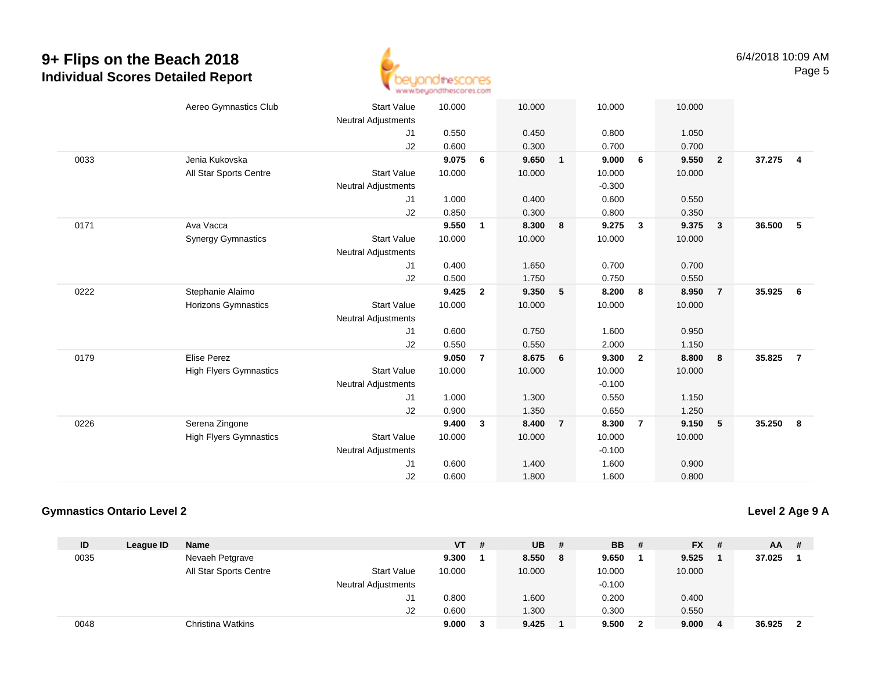

|      | Aereo Gymnastics Club         | <b>Start Value</b><br><b>Neutral Adjustments</b> | 10.000 |                | 10.000 |                | 10.000   |                | 10.000 |                         |        |                         |
|------|-------------------------------|--------------------------------------------------|--------|----------------|--------|----------------|----------|----------------|--------|-------------------------|--------|-------------------------|
|      |                               | J1                                               | 0.550  |                | 0.450  |                | 0.800    |                | 1.050  |                         |        |                         |
|      |                               | J2                                               | 0.600  |                | 0.300  |                | 0.700    |                | 0.700  |                         |        |                         |
| 0033 | Jenia Kukovska                |                                                  | 9.075  | 6              | 9.650  | $\mathbf{1}$   | 9.000    | 6              | 9.550  | $\overline{\mathbf{2}}$ | 37.275 | $\overline{\mathbf{4}}$ |
|      | All Star Sports Centre        | <b>Start Value</b>                               | 10.000 |                | 10.000 |                | 10.000   |                | 10.000 |                         |        |                         |
|      |                               | <b>Neutral Adjustments</b>                       |        |                |        |                | $-0.300$ |                |        |                         |        |                         |
|      |                               | J1                                               | 1.000  |                | 0.400  |                | 0.600    |                | 0.550  |                         |        |                         |
|      |                               | J2                                               | 0.850  |                | 0.300  |                | 0.800    |                | 0.350  |                         |        |                         |
| 0171 | Ava Vacca                     |                                                  | 9.550  | $\mathbf{1}$   | 8.300  | 8              | 9.275    | $\mathbf{3}$   | 9.375  | $\overline{\mathbf{3}}$ | 36.500 | 5                       |
|      | <b>Synergy Gymnastics</b>     | <b>Start Value</b>                               | 10.000 |                | 10.000 |                | 10.000   |                | 10.000 |                         |        |                         |
|      |                               | <b>Neutral Adjustments</b>                       |        |                |        |                |          |                |        |                         |        |                         |
|      |                               | J1                                               | 0.400  |                | 1.650  |                | 0.700    |                | 0.700  |                         |        |                         |
|      |                               | J2                                               | 0.500  |                | 1.750  |                | 0.750    |                | 0.550  |                         |        |                         |
| 0222 | Stephanie Alaimo              |                                                  | 9.425  | $\overline{2}$ | 9.350  | 5              | 8.200    | 8              | 8.950  | $\overline{7}$          | 35.925 | $6\overline{6}$         |
|      | Horizons Gymnastics           | <b>Start Value</b>                               | 10.000 |                | 10.000 |                | 10.000   |                | 10.000 |                         |        |                         |
|      |                               | <b>Neutral Adjustments</b>                       |        |                |        |                |          |                |        |                         |        |                         |
|      |                               | J1                                               | 0.600  |                | 0.750  |                | 1.600    |                | 0.950  |                         |        |                         |
|      |                               | J2                                               | 0.550  |                | 0.550  |                | 2.000    |                | 1.150  |                         |        |                         |
| 0179 | <b>Elise Perez</b>            |                                                  | 9.050  | $\overline{7}$ | 8.675  | 6              | 9.300    | $\overline{2}$ | 8.800  | 8                       | 35.825 | $\overline{7}$          |
|      | <b>High Flyers Gymnastics</b> | <b>Start Value</b>                               | 10.000 |                | 10.000 |                | 10.000   |                | 10.000 |                         |        |                         |
|      |                               | <b>Neutral Adjustments</b>                       |        |                |        |                | $-0.100$ |                |        |                         |        |                         |
|      |                               | J1                                               | 1.000  |                | 1.300  |                | 0.550    |                | 1.150  |                         |        |                         |
|      |                               | J2                                               | 0.900  |                | 1.350  |                | 0.650    |                | 1.250  |                         |        |                         |
| 0226 | Serena Zingone                |                                                  | 9.400  | 3              | 8.400  | $\overline{7}$ | 8.300    | $\overline{7}$ | 9.150  | $-5$                    | 35.250 | $\bf{8}$                |
|      | <b>High Flyers Gymnastics</b> | <b>Start Value</b>                               | 10.000 |                | 10.000 |                | 10.000   |                | 10.000 |                         |        |                         |
|      |                               | <b>Neutral Adjustments</b>                       |        |                |        |                | $-0.100$ |                |        |                         |        |                         |
|      |                               | J <sub>1</sub>                                   | 0.600  |                | 1.400  |                | 1.600    |                | 0.900  |                         |        |                         |
|      |                               | J2                                               | 0.600  |                | 1.800  |                | 1.600    |                | 0.800  |                         |        |                         |

#### **Gymnastics Ontario Level 2**

**Level 2 Age 9 A**

| ID   | League ID | Name                   |                            | VT     | # | <b>UB</b> | - # | <b>BB</b> | - # | <b>FX</b> | - #            | <b>AA</b> | -# |
|------|-----------|------------------------|----------------------------|--------|---|-----------|-----|-----------|-----|-----------|----------------|-----------|----|
| 0035 |           | Nevaeh Petgrave        |                            | 9.300  |   | 8.550     | -8  | 9.650     |     | 9.525     |                | 37.025    |    |
|      |           | All Star Sports Centre | <b>Start Value</b>         | 10.000 |   | 10.000    |     | 10.000    |     | 10.000    |                |           |    |
|      |           |                        | <b>Neutral Adjustments</b> |        |   |           |     | $-0.100$  |     |           |                |           |    |
|      |           |                        | J1.                        | 0.800  |   | 1.600     |     | 0.200     |     | 0.400     |                |           |    |
|      |           |                        | J2                         | 0.600  |   | 1.300     |     | 0.300     |     | 0.550     |                |           |    |
| 0048 |           | Christina Watkins      |                            | 9.000  | 3 | 9.425     |     | 9.500     | 2   | 9.000     | $\blacksquare$ | 36.925    |    |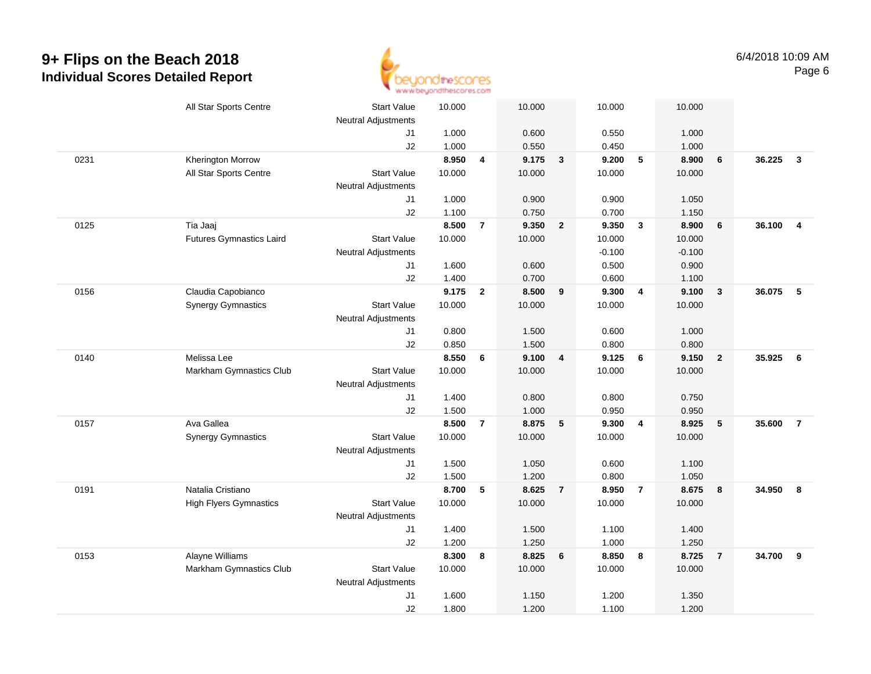

|      | All Star Sports Centre          | <b>Start Value</b>         | 10.000 |                | 10.000 |                | 10.000   |                         | 10.000   |                  |        |                |
|------|---------------------------------|----------------------------|--------|----------------|--------|----------------|----------|-------------------------|----------|------------------|--------|----------------|
|      |                                 | Neutral Adjustments        |        |                |        |                |          |                         |          |                  |        |                |
|      |                                 | J1                         | 1.000  |                | 0.600  |                | 0.550    |                         | 1.000    |                  |        |                |
|      |                                 | J2                         | 1.000  |                | 0.550  |                | 0.450    |                         | 1.000    |                  |        |                |
| 0231 | <b>Kherington Morrow</b>        |                            | 8.950  | 4              | 9.175  | $\mathbf{3}$   | 9.200    | $5\phantom{.0}$         | 8.900    | 6                | 36.225 | $\mathbf{3}$   |
|      | All Star Sports Centre          | <b>Start Value</b>         | 10.000 |                | 10.000 |                | 10.000   |                         | 10.000   |                  |        |                |
|      |                                 | <b>Neutral Adjustments</b> |        |                |        |                |          |                         |          |                  |        |                |
|      |                                 | J1                         | 1.000  |                | 0.900  |                | 0.900    |                         | 1.050    |                  |        |                |
|      |                                 | J2                         | 1.100  |                | 0.750  |                | 0.700    |                         | 1.150    |                  |        |                |
| 0125 | Tia Jaaj                        |                            | 8.500  | $\overline{7}$ | 9.350  | $\overline{2}$ | 9.350    | $\overline{\mathbf{3}}$ | 8.900    | $6\phantom{1}6$  | 36.100 | $\overline{4}$ |
|      | <b>Futures Gymnastics Laird</b> | <b>Start Value</b>         | 10.000 |                | 10.000 |                | 10.000   |                         | 10.000   |                  |        |                |
|      |                                 | <b>Neutral Adjustments</b> |        |                |        |                | $-0.100$ |                         | $-0.100$ |                  |        |                |
|      |                                 | J1                         | 1.600  |                | 0.600  |                | 0.500    |                         | 0.900    |                  |        |                |
|      |                                 | J2                         | 1.400  |                | 0.700  |                | 0.600    |                         | 1.100    |                  |        |                |
| 0156 | Claudia Capobianco              |                            | 9.175  | $\overline{2}$ | 8.500  | 9              | 9.300    | $\overline{4}$          | 9.100    | $\mathbf{3}$     | 36.075 | 5              |
|      | <b>Synergy Gymnastics</b>       | <b>Start Value</b>         | 10.000 |                | 10.000 |                | 10.000   |                         | 10.000   |                  |        |                |
|      |                                 | <b>Neutral Adjustments</b> |        |                |        |                |          |                         |          |                  |        |                |
|      |                                 | J1                         | 0.800  |                | 1.500  |                | 0.600    |                         | 1.000    |                  |        |                |
|      |                                 | J2                         | 0.850  |                | 1.500  |                | 0.800    |                         | 0.800    |                  |        |                |
| 0140 | Melissa Lee                     |                            | 8.550  | 6              | 9.100  | 4              | 9.125    | 6                       | 9.150    | $\overline{2}$   | 35.925 | 6              |
|      | Markham Gymnastics Club         | <b>Start Value</b>         | 10.000 |                | 10.000 |                | 10.000   |                         | 10.000   |                  |        |                |
|      |                                 | <b>Neutral Adjustments</b> |        |                |        |                |          |                         |          |                  |        |                |
|      |                                 | J1                         | 1.400  |                | 0.800  |                | 0.800    |                         | 0.750    |                  |        |                |
|      |                                 | J2                         | 1.500  |                | 1.000  |                | 0.950    |                         | 0.950    |                  |        |                |
| 0157 | Ava Gallea                      |                            | 8.500  | $\overline{7}$ | 8.875  | 5              | 9.300    | $\overline{\mathbf{4}}$ | 8.925    | 5                | 35.600 | $\overline{7}$ |
|      | <b>Synergy Gymnastics</b>       | <b>Start Value</b>         | 10.000 |                | 10.000 |                | 10.000   |                         | 10.000   |                  |        |                |
|      |                                 | <b>Neutral Adjustments</b> |        |                |        |                |          |                         |          |                  |        |                |
|      |                                 | J1                         | 1.500  |                | 1.050  |                | 0.600    |                         | 1.100    |                  |        |                |
|      |                                 | J2                         | 1.500  |                | 1.200  |                | 0.800    |                         | 1.050    |                  |        |                |
| 0191 | Natalia Cristiano               |                            | 8.700  | 5              | 8.625  | $\overline{7}$ | 8.950    | $\overline{7}$          | 8.675    | $\boldsymbol{8}$ | 34.950 | 8              |
|      | <b>High Flyers Gymnastics</b>   | <b>Start Value</b>         | 10.000 |                | 10.000 |                | 10.000   |                         | 10.000   |                  |        |                |
|      |                                 | <b>Neutral Adjustments</b> |        |                |        |                |          |                         |          |                  |        |                |
|      |                                 | J1                         | 1.400  |                | 1.500  |                | 1.100    |                         | 1.400    |                  |        |                |
|      |                                 | J2                         | 1.200  |                | 1.250  |                | 1.000    |                         | 1.250    |                  |        |                |
| 0153 | Alayne Williams                 |                            | 8.300  | 8              | 8.825  | 6              | 8.850    | 8                       | 8.725    | $\overline{7}$   | 34.700 | 9              |
|      | Markham Gymnastics Club         | <b>Start Value</b>         | 10.000 |                | 10.000 |                | 10.000   |                         | 10.000   |                  |        |                |
|      |                                 | <b>Neutral Adjustments</b> |        |                |        |                |          |                         |          |                  |        |                |
|      |                                 | J1                         | 1.600  |                | 1.150  |                | 1.200    |                         | 1.350    |                  |        |                |
|      |                                 | J2                         | 1.800  |                | 1.200  |                | 1.100    |                         | 1.200    |                  |        |                |
|      |                                 |                            |        |                |        |                |          |                         |          |                  |        |                |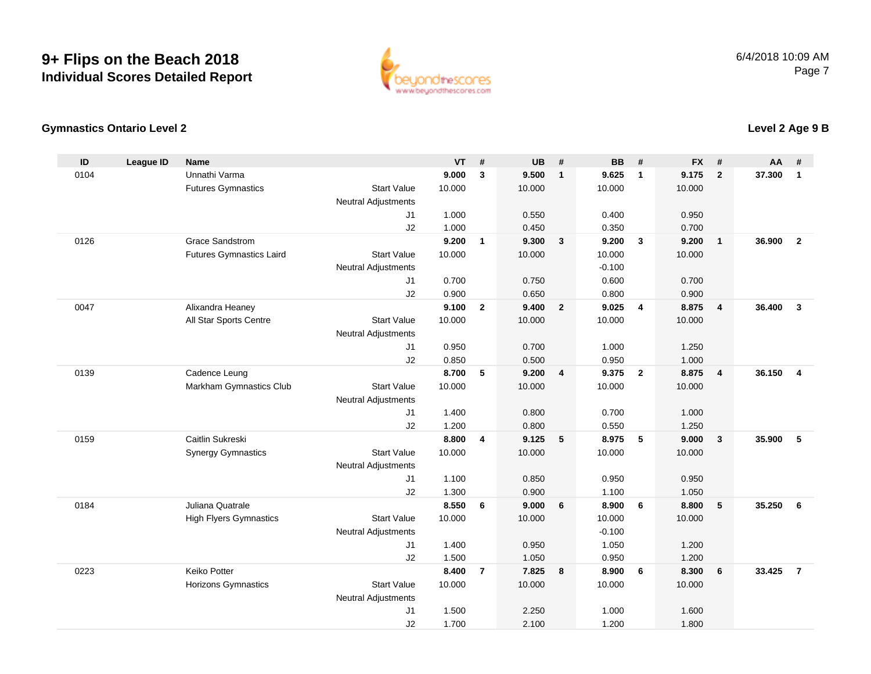

#### **Gymnastics Ontario Level 2**

| ID   | <b>League ID</b> | <b>Name</b>                     |                            | VT     | $\pmb{\#}$     | <b>UB</b> | #                       | BB       | #              | <b>FX</b> | #              | AA     | #              |
|------|------------------|---------------------------------|----------------------------|--------|----------------|-----------|-------------------------|----------|----------------|-----------|----------------|--------|----------------|
| 0104 |                  | Unnathi Varma                   |                            | 9.000  | 3              | 9.500     | $\mathbf{1}$            | 9.625    | $\mathbf{1}$   | 9.175     | $\overline{2}$ | 37.300 | 1              |
|      |                  | <b>Futures Gymnastics</b>       | <b>Start Value</b>         | 10.000 |                | 10.000    |                         | 10.000   |                | 10.000    |                |        |                |
|      |                  |                                 | <b>Neutral Adjustments</b> |        |                |           |                         |          |                |           |                |        |                |
|      |                  |                                 | J1                         | 1.000  |                | 0.550     |                         | 0.400    |                | 0.950     |                |        |                |
|      |                  |                                 | J2                         | 1.000  |                | 0.450     |                         | 0.350    |                | 0.700     |                |        |                |
| 0126 |                  | Grace Sandstrom                 |                            | 9.200  | $\mathbf{1}$   | 9.300     | $\mathbf{3}$            | 9.200    | $\mathbf{3}$   | 9.200     | $\mathbf{1}$   | 36.900 | $\overline{2}$ |
|      |                  | <b>Futures Gymnastics Laird</b> | <b>Start Value</b>         | 10.000 |                | 10.000    |                         | 10.000   |                | 10.000    |                |        |                |
|      |                  |                                 | <b>Neutral Adjustments</b> |        |                |           |                         | $-0.100$ |                |           |                |        |                |
|      |                  |                                 | J1                         | 0.700  |                | 0.750     |                         | 0.600    |                | 0.700     |                |        |                |
|      |                  |                                 | J2                         | 0.900  |                | 0.650     |                         | 0.800    |                | 0.900     |                |        |                |
| 0047 |                  | Alixandra Heaney                |                            | 9.100  | $\overline{2}$ | 9.400     | $\overline{\mathbf{2}}$ | 9.025    | $\overline{4}$ | 8.875     | $\overline{4}$ | 36,400 | $\mathbf{3}$   |
|      |                  | All Star Sports Centre          | <b>Start Value</b>         | 10.000 |                | 10.000    |                         | 10.000   |                | 10.000    |                |        |                |
|      |                  |                                 | <b>Neutral Adjustments</b> |        |                |           |                         |          |                |           |                |        |                |
|      |                  |                                 | J <sub>1</sub>             | 0.950  |                | 0.700     |                         | 1.000    |                | 1.250     |                |        |                |
|      |                  |                                 | J2                         | 0.850  |                | 0.500     |                         | 0.950    |                | 1.000     |                |        |                |
| 0139 |                  | Cadence Leung                   |                            | 8.700  | 5              | 9.200     | $\overline{4}$          | 9.375    | $\overline{2}$ | 8.875     | $\overline{4}$ | 36.150 | $\overline{4}$ |
|      |                  | Markham Gymnastics Club         | <b>Start Value</b>         | 10.000 |                | 10.000    |                         | 10.000   |                | 10.000    |                |        |                |
|      |                  |                                 | <b>Neutral Adjustments</b> |        |                |           |                         |          |                |           |                |        |                |
|      |                  |                                 | J <sub>1</sub>             | 1.400  |                | 0.800     |                         | 0.700    |                | 1.000     |                |        |                |
|      |                  |                                 | J2                         | 1.200  |                | 0.800     |                         | 0.550    |                | 1.250     |                |        |                |
| 0159 |                  | Caitlin Sukreski                |                            | 8.800  | 4              | 9.125     | 5                       | 8.975    | 5              | 9.000     | $\mathbf{3}$   | 35.900 | 5              |
|      |                  | <b>Synergy Gymnastics</b>       | <b>Start Value</b>         | 10.000 |                | 10.000    |                         | 10.000   |                | 10.000    |                |        |                |
|      |                  |                                 | <b>Neutral Adjustments</b> |        |                |           |                         |          |                |           |                |        |                |
|      |                  |                                 | J1                         | 1.100  |                | 0.850     |                         | 0.950    |                | 0.950     |                |        |                |
|      |                  |                                 | J2                         | 1.300  |                | 0.900     |                         | 1.100    |                | 1.050     |                |        |                |
| 0184 |                  | Juliana Quatrale                |                            | 8.550  | 6              | 9.000     | 6                       | 8.900    | 6              | 8.800     | 5              | 35.250 | 6              |
|      |                  | <b>High Flyers Gymnastics</b>   | <b>Start Value</b>         | 10.000 |                | 10.000    |                         | 10.000   |                | 10.000    |                |        |                |
|      |                  |                                 | <b>Neutral Adjustments</b> |        |                |           |                         | $-0.100$ |                |           |                |        |                |
|      |                  |                                 | J1                         | 1.400  |                | 0.950     |                         | 1.050    |                | 1.200     |                |        |                |
|      |                  |                                 | J2                         | 1.500  |                | 1.050     |                         | 0.950    |                | 1.200     |                |        |                |
| 0223 |                  | Keiko Potter                    |                            | 8.400  | $\overline{7}$ | 7.825     | 8                       | 8.900    | 6              | 8.300     | 6              | 33.425 | $\overline{7}$ |
|      |                  | <b>Horizons Gymnastics</b>      | <b>Start Value</b>         | 10.000 |                | 10.000    |                         | 10.000   |                | 10.000    |                |        |                |
|      |                  |                                 | <b>Neutral Adjustments</b> |        |                |           |                         |          |                |           |                |        |                |
|      |                  |                                 | J1                         | 1.500  |                | 2.250     |                         | 1.000    |                | 1.600     |                |        |                |
|      |                  |                                 | J2                         | 1.700  |                | 2.100     |                         | 1.200    |                | 1.800     |                |        |                |

### **Level 2 Age 9 B**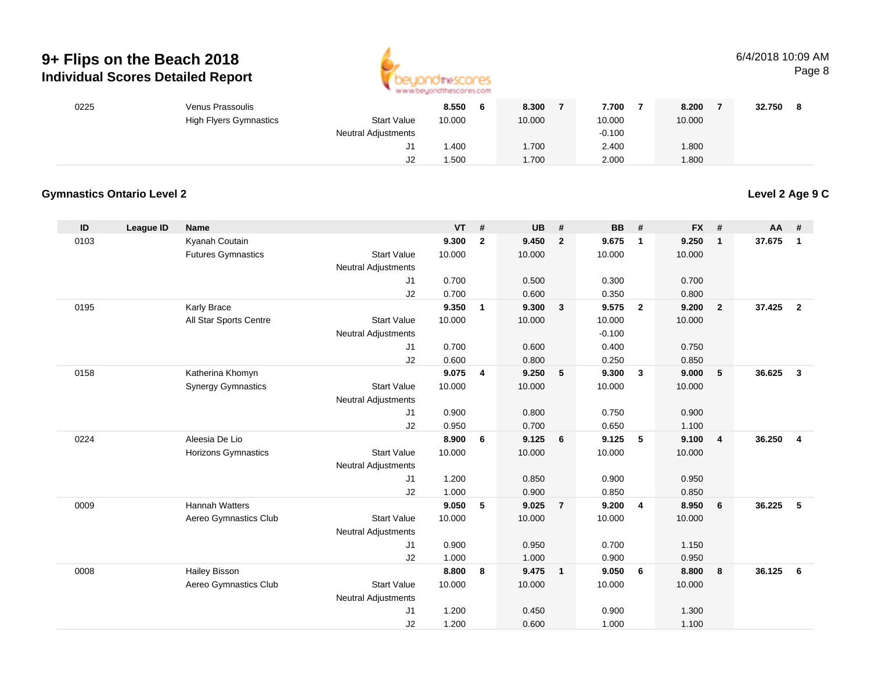

#### 6/4/2018 10:09 AMPage 8

| 0225 | Venus Prassoulis              |                            | 8.550<br>O | 8.300  | 7.700    | 8.200  | 32.750 |
|------|-------------------------------|----------------------------|------------|--------|----------|--------|--------|
|      | <b>High Flyers Gymnastics</b> | <b>Start Value</b>         | 10.000     | 10.000 | 10.000   | 10.000 |        |
|      |                               | <b>Neutral Adjustments</b> |            |        | $-0.100$ |        |        |
|      |                               | ັ                          | 1.400      | .700   | 2.400    | 1.800  |        |
|      |                               | J2                         | 1.500      | .700   | 2.000    | 1.800  |        |

#### **Gymnastics Ontario Level 2**

**Level 2 Age 9 C**

| ID   | <b>League ID</b> | <b>Name</b>                |                            | <b>VT</b> | #            | <b>UB</b> | #              | <b>BB</b> | #              | <b>FX</b> | #              | AA     | #              |
|------|------------------|----------------------------|----------------------------|-----------|--------------|-----------|----------------|-----------|----------------|-----------|----------------|--------|----------------|
| 0103 |                  | Kyanah Coutain             |                            | 9.300     | $\mathbf{2}$ | 9.450     | $\overline{2}$ | 9.675     | $\overline{1}$ | 9.250     | $\mathbf{1}$   | 37.675 | $\mathbf{1}$   |
|      |                  | <b>Futures Gymnastics</b>  | <b>Start Value</b>         | 10.000    |              | 10.000    |                | 10.000    |                | 10.000    |                |        |                |
|      |                  |                            | <b>Neutral Adjustments</b> |           |              |           |                |           |                |           |                |        |                |
|      |                  |                            | J1                         | 0.700     |              | 0.500     |                | 0.300     |                | 0.700     |                |        |                |
|      |                  |                            | J2                         | 0.700     |              | 0.600     |                | 0.350     |                | 0.800     |                |        |                |
| 0195 |                  | <b>Karly Brace</b>         |                            | 9.350     | $\mathbf{1}$ | 9.300     | $\mathbf{3}$   | 9.575     | $\overline{2}$ | 9.200     | $\overline{2}$ | 37.425 | $\overline{2}$ |
|      |                  | All Star Sports Centre     | <b>Start Value</b>         | 10.000    |              | 10.000    |                | 10.000    |                | 10.000    |                |        |                |
|      |                  |                            | <b>Neutral Adjustments</b> |           |              |           |                | $-0.100$  |                |           |                |        |                |
|      |                  |                            | J1                         | 0.700     |              | 0.600     |                | 0.400     |                | 0.750     |                |        |                |
|      |                  |                            | J2                         | 0.600     |              | 0.800     |                | 0.250     |                | 0.850     |                |        |                |
| 0158 |                  | Katherina Khomyn           |                            | 9.075     | 4            | 9.250     | 5              | 9.300     | $\mathbf{3}$   | 9.000     | 5              | 36.625 | $\mathbf{3}$   |
|      |                  | <b>Synergy Gymnastics</b>  | <b>Start Value</b>         | 10.000    |              | 10.000    |                | 10.000    |                | 10.000    |                |        |                |
|      |                  |                            | <b>Neutral Adjustments</b> |           |              |           |                |           |                |           |                |        |                |
|      |                  |                            | J1                         | 0.900     |              | 0.800     |                | 0.750     |                | 0.900     |                |        |                |
|      |                  |                            | J2                         | 0.950     |              | 0.700     |                | 0.650     |                | 1.100     |                |        |                |
| 0224 |                  | Aleesia De Lio             |                            | 8.900     | 6            | 9.125     | 6              | 9.125     | 5              | 9.100     | $\overline{4}$ | 36.250 | $\overline{4}$ |
|      |                  | <b>Horizons Gymnastics</b> | <b>Start Value</b>         | 10.000    |              | 10.000    |                | 10.000    |                | 10.000    |                |        |                |
|      |                  |                            | <b>Neutral Adjustments</b> |           |              |           |                |           |                |           |                |        |                |
|      |                  |                            | J1                         | 1.200     |              | 0.850     |                | 0.900     |                | 0.950     |                |        |                |
|      |                  |                            | J2                         | 1.000     |              | 0.900     |                | 0.850     |                | 0.850     |                |        |                |
| 0009 |                  | <b>Hannah Watters</b>      |                            | 9.050     | 5            | 9.025     | $\overline{7}$ | 9.200     | $\overline{4}$ | 8.950     | 6              | 36.225 | 5              |
|      |                  | Aereo Gymnastics Club      | <b>Start Value</b>         | 10.000    |              | 10.000    |                | 10.000    |                | 10.000    |                |        |                |
|      |                  |                            | <b>Neutral Adjustments</b> |           |              |           |                |           |                |           |                |        |                |
|      |                  |                            | J1                         | 0.900     |              | 0.950     |                | 0.700     |                | 1.150     |                |        |                |
|      |                  |                            | J2                         | 1.000     |              | 1.000     |                | 0.900     |                | 0.950     |                |        |                |
| 0008 |                  | <b>Hailey Bisson</b>       |                            | 8.800     | 8            | 9.475     | $\overline{1}$ | 9.050     | 6              | 8.800     | 8              | 36.125 | 6              |
|      |                  | Aereo Gymnastics Club      | <b>Start Value</b>         | 10.000    |              | 10.000    |                | 10.000    |                | 10.000    |                |        |                |
|      |                  |                            | <b>Neutral Adjustments</b> |           |              |           |                |           |                |           |                |        |                |
|      |                  |                            | J1                         | 1.200     |              | 0.450     |                | 0.900     |                | 1.300     |                |        |                |
|      |                  |                            | J2                         | 1.200     |              | 0.600     |                | 1.000     |                | 1.100     |                |        |                |